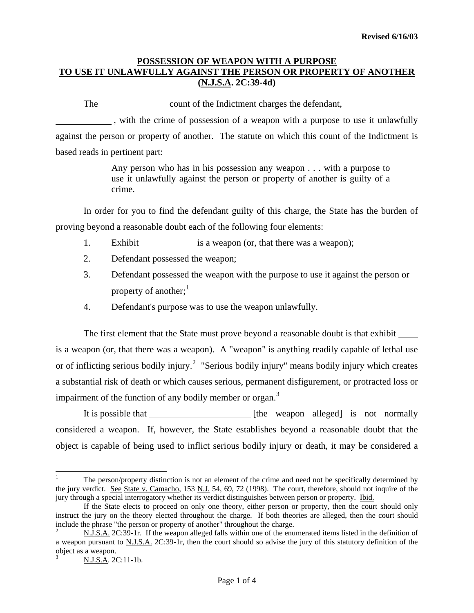## **POSSESSION OF WEAPON WITH A PURPOSE TO USE IT UNLAWFULLY AGAINST THE PERSON OR PROPERTY OF ANOTHER (N.J.S.A. 2C:39-4d)**

The count of the Indictment charges the defendant,

 , with the crime of possession of a weapon with a purpose to use it unlawfully against the person or property of another. The statute on which this count of the Indictment is based reads in pertinent part:

> Any person who has in his possession any weapon . . . with a purpose to use it unlawfully against the person or property of another is guilty of a crime.

In order for you to find the defendant guilty of this charge, the State has the burden of proving beyond a reasonable doubt each of the following four elements:

- 1. Exhibit <u>example 1</u> is a weapon (or, that there was a weapon);
- 2. Defendant possessed the weapon;
- 3. Defendant possessed the weapon with the purpose to use it against the person or property of another; $<sup>1</sup>$  $<sup>1</sup>$  $<sup>1</sup>$ </sup>
- 4. Defendant's purpose was to use the weapon unlawfully.

The first element that the State must prove beyond a reasonable doubt is that exhibit is a weapon (or, that there was a weapon). A "weapon" is anything readily capable of lethal use or of inflicting serious bodily injury.<sup>[2](#page-0-1)</sup> "Serious bodily injury" means bodily injury which creates a substantial risk of death or which causes serious, permanent disfigurement, or protracted loss or impairment of the function of any bodily member or organ. $3$ 

It is possible that [the weapon alleged] is not normally considered a weapon. If, however, the State establishes beyond a reasonable doubt that the object is capable of being used to inflict serious bodily injury or death, it may be considered a

i

<span id="page-0-0"></span><sup>1</sup> The person/property distinction is not an element of the crime and need not be specifically determined by the jury verdict. See State v. Camacho, 153 N.J. 54, 69, 72 (1998). The court, therefore, should not inquire of the jury through a special interrogatory whether its verdict distinguishes between person or property. Ibid.

If the State elects to proceed on only one theory, either person or property, then the court should only instruct the jury on the theory elected throughout the charge. If both theories are alleged, then the court should include the phrase "the person or property of another" throughout the charge.

<span id="page-0-2"></span><span id="page-0-1"></span><sup>2</sup> N.J.S.A. 2C:39-1r. If the weapon alleged falls within one of the enumerated items listed in the definition of a weapon pursuant to N.J.S.A. 2C:39-1r, then the court should so advise the jury of this statutory definition of the object as a weapon. 3

N.J.S.A. 2C:11-1b.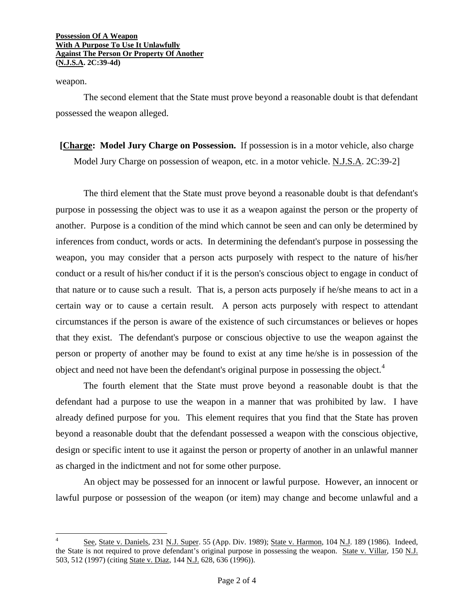### **Possession Of A Weapon With A Purpose To Use It Unlawfully Against The Person Or Property Of Another (N.J.S.A. 2C:39-4d)**

weapon.

i

The second element that the State must prove beyond a reasonable doubt is that defendant possessed the weapon alleged.

**[Charge: Model Jury Charge on Possession.** If possession is in a motor vehicle, also charge Model Jury Charge on possession of weapon, etc. in a motor vehicle. N.J.S.A. 2C:39-2]

The third element that the State must prove beyond a reasonable doubt is that defendant's purpose in possessing the object was to use it as a weapon against the person or the property of another. Purpose is a condition of the mind which cannot be seen and can only be determined by inferences from conduct, words or acts. In determining the defendant's purpose in possessing the weapon, you may consider that a person acts purposely with respect to the nature of his/her conduct or a result of his/her conduct if it is the person's conscious object to engage in conduct of that nature or to cause such a result. That is, a person acts purposely if he/she means to act in a certain way or to cause a certain result. A person acts purposely with respect to attendant circumstances if the person is aware of the existence of such circumstances or believes or hopes that they exist. The defendant's purpose or conscious objective to use the weapon against the person or property of another may be found to exist at any time he/she is in possession of the object and need not have been the defendant's original purpose in possessing the object.<sup>[4](#page-1-0)</sup>

The fourth element that the State must prove beyond a reasonable doubt is that the defendant had a purpose to use the weapon in a manner that was prohibited by law. I have already defined purpose for you. This element requires that you find that the State has proven beyond a reasonable doubt that the defendant possessed a weapon with the conscious objective, design or specific intent to use it against the person or property of another in an unlawful manner as charged in the indictment and not for some other purpose.

An object may be possessed for an innocent or lawful purpose. However, an innocent or lawful purpose or possession of the weapon (or item) may change and become unlawful and a

<span id="page-1-0"></span><sup>4</sup> See, State v. Daniels, 231 N.J. Super. 55 (App. Div. 1989); State v. Harmon, 104 N.J. 189 (1986). Indeed, the State is not required to prove defendant's original purpose in possessing the weapon. State v. Villar, 150 N.J. 503, 512 (1997) (citing State v. Diaz, 144 N.J. 628, 636 (1996)).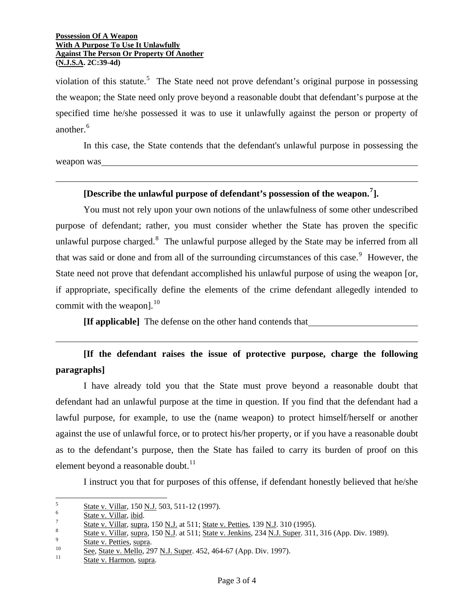#### **Possession Of A Weapon With A Purpose To Use It Unlawfully Against The Person Or Property Of Another (N.J.S.A. 2C:39-4d)**

 $\overline{a}$ 

 $\overline{a}$ 

violation of this statute.<sup>[5](#page-2-0)</sup> The State need not prove defendant's original purpose in possessing the weapon; the State need only prove beyond a reasonable doubt that defendant's purpose at the specified time he/she possessed it was to use it unlawfully against the person or property of another.<sup>[6](#page-2-1)</sup>

In this case, the State contends that the defendant's unlawful purpose in possessing the weapon was

## **[Describe the unlawful purpose of defendant's possession of the weapon.[7](#page-2-2) ].**

You must not rely upon your own notions of the unlawfulness of some other undescribed purpose of defendant; rather, you must consider whether the State has proven the specific unlawful purpose charged.<sup>[8](#page-2-3)</sup> The unlawful purpose alleged by the State may be inferred from all that was said or done and from all of the surrounding circumstances of this case.<sup>[9](#page-2-4)</sup> However, the State need not prove that defendant accomplished his unlawful purpose of using the weapon [or, if appropriate, specifically define the elements of the crime defendant allegedly intended to commit with the weapon]. $^{10}$  $^{10}$  $^{10}$ 

**[If applicable]** The defense on the other hand contends that

# **[If the defendant raises the issue of protective purpose, charge the following paragraphs]**

I have already told you that the State must prove beyond a reasonable doubt that defendant had an unlawful purpose at the time in question. If you find that the defendant had a lawful purpose, for example, to use the (name weapon) to protect himself/herself or another against the use of unlawful force, or to protect his/her property, or if you have a reasonable doubt as to the defendant's purpose, then the State has failed to carry its burden of proof on this element beyond a reasonable doubt. $^{11}$  $^{11}$  $^{11}$ 

I instruct you that for purposes of this offense, if defendant honestly believed that he/she

<span id="page-2-0"></span>i 5  $\frac{5}{6}$  State v. Villar, 150 <u>N.J.</u> 503, 511-12 (1997).

<span id="page-2-1"></span> $\frac{6}{7}$  State v. Villar, ibid.

<span id="page-2-2"></span> $\frac{5}{8}$  State v. Villar, supra, 150 N.J. at 511; State v. Petties, 139 N.J. 310 (1995).

<span id="page-2-3"></span> $\frac{State v. Villar, supra, 150 N.J. at 511; State v. Jenkins, 234 N.J. Super. 311, 316 (App. Div. 1989).  
State v. Petties, supra.$ 

<span id="page-2-5"></span><span id="page-2-4"></span> $\frac{\text{See}}{11}$ , State v. Mello, 297 N.J. Super. 452, 464-67 (App. Div. 1997).<br>
State v. Harmon, supra.

<span id="page-2-6"></span>